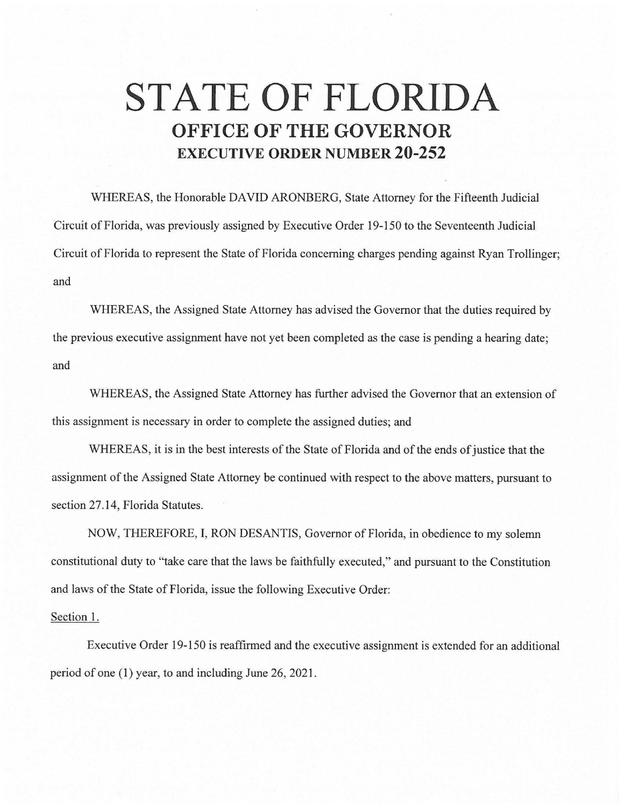## **STATE OF FLORIDA OFFICE OF THE GOVERNOR EXECUTIVE ORDER NUMBER 20-252**

WHEREAS, the Honorable DAVID ARONBERG, State Attorney for the Fifteenth Judicial Circuit of Florida, was previously assigned by Executive Order 19-150 to the Seventeenth Judicial Circuit of Florida to represent the State of Florida concerning charges pending against Ryan Trollinger; and

WHEREAS, the Assigned State Attorney has advised the Governor that the duties required by the previous executive assignment have not yet been completed as the case is pending a hearing date; and

WHEREAS, the Assigned State Attorney has further advised the Governor that an extension of this assignment is necessary in order to complete the assigned duties; and

WHEREAS, it is in the best interests of the State of Florida and of the ends of justice that the assignment of the Assigned State Attorney be continued with respect to the above matters, pursuant to section 27.14, Florida Statutes.

NOW, THEREFORE, I, RON DESANTIS, Governor of Florida, in obedience to my solemn constitutional duty to "take care that the laws be faithfully executed," and pursuant to the Constitution and laws of the State of Florida, issue the following Executive Order:

## Section 1.

Executive Order 19-150 is reaffirmed and the executive assignment is extended for an additional period of one (I) year, to and including June 26, 2021.